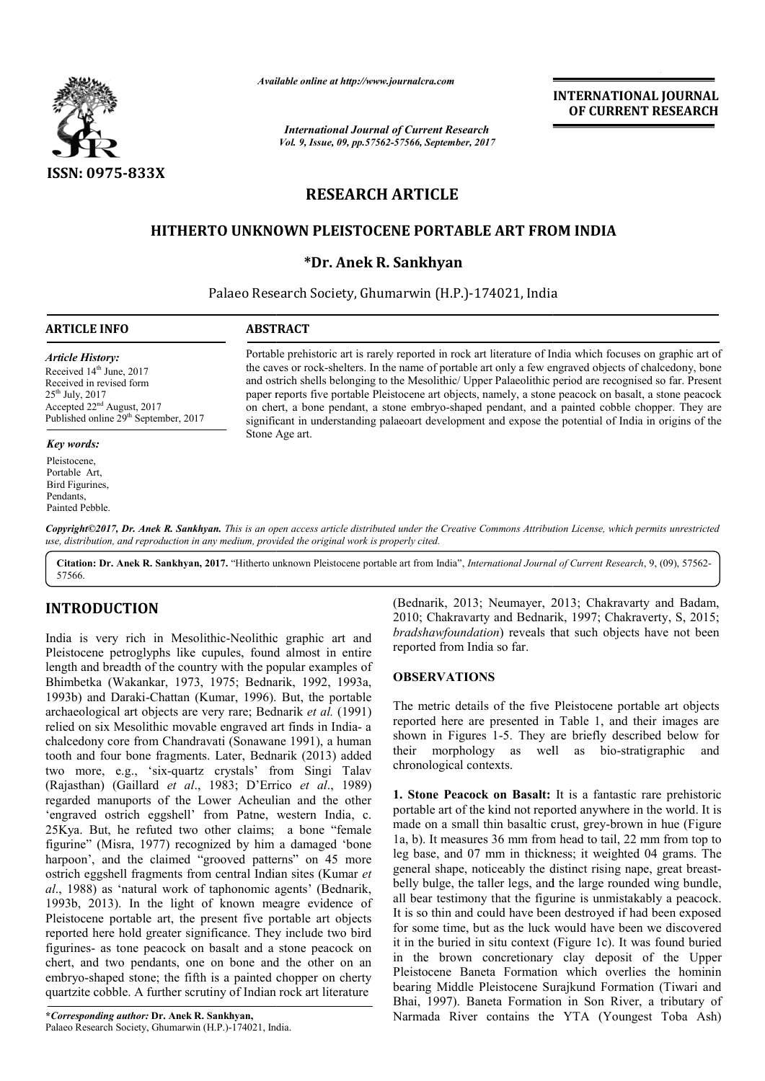

*Available online at http://www.journalcra.com*

*International Journal of Current Research Vol. 9, Issue, 09, pp.57562-57566, September, 2017* **INTERNATIONAL JOURNAL OF CURRENT RESEARCH**

# **RESEARCH ARTICLE**

## **HITHERTO UNKNOWN PLEISTOCENE PORTABLE ART FROM INDIA**

## **\*Dr. Anek R. Sankhyan**

Palaeo Research Society, Ghumarwin (H.P.)-174021, India

### **ARTICLE INFO ABSTRACT**

*Article History:* Received 14<sup>th</sup> June, 2017 Received in revised form

 $25<sup>th</sup>$  July,  $2017$ Accepted 22nd August, 2017 Published online 29<sup>th</sup> September, 2017

### *Key words:*

Pleistocene, Portable Art, Bird Figurines, Pendants, Painted Pebble. Portable prehistoric art is rarely reported in rock art literature of India which focuses on graphic art of the caves or rock-shelters. In the name of portable art only a few engraved objects of chalcedony, bone and ostrich shells belonging to the Mesolithic/ Upper Palaeolithic period are recognised so far. Present paper reports five portable Pleistocene art objects, namely, a stone peacock on basalt, a stone peacock on chert, a bone pendant, a stone embryo-shaped pendant, and a painted cobble chopper. They significant in understanding palaeoart development and expose the potential of India in origins of the Stone Age art. Portable prehistoric art is rarely reported in rock art literature of India which focuses on graphic art of the caves or rock-shelters. In the name of portable art only a few engraved objects of chalcedony, bone and ostric

Copyright©2017, Dr. Anek R. Sankhyan. This is an open access article distributed under the Creative Commons Attribution License, which permits unrestricted *use, distribution, and reproduction in any medium, provided the original work is properly cited.*

Citation: Dr. Anek R. Sankhyan, 2017. "Hitherto unknown Pleistocene portable art from India", *International Journal of Current Research*, 9, (09), 57562-57566.

## **INTRODUCTION**

India is very rich in Mesolithic-Neolithic graphic art and Pleistocene petroglyphs like cupules, found almost in entire length and breadth of the country with the popular examples of Bhimbetka (Wakankar, 1973, 1975; Bednarik, 1992, 1993a, 1993b) and Daraki-Chattan (Kumar, 1996). But, the portable archaeological art objects are very rare; Bednarik *et al.* (1991) relied on six Mesolithic movable engraved art finds in India- a chalcedony core from Chandravati (Sonawane 1991), a human tooth and four bone fragments. Later, Bednarik ( (2013) added two more, e.g., 'six-quartz crystals' from Singi Talav (Rajasthan) (Gaillard *et al*., 1983; D'Errico *et al*., 1989) regarded manuports of the Lower Acheulian and the other 'engraved ostrich eggshell' from Patne, western India, c. 25Kya. But, he refuted two other claims; a bone "female figurine" (Misra, 1977) recognized by him a damaged 'bone harpoon', and the claimed "grooved patterns" on 45 more ostrich eggshell fragments from central Indian sites (Kumar *et al*., 1988) as 'natural work of taphonomic agents' (Bednarik, 1993b, 2013). In the light of known meagre evidence of 1993b, 2013). In the light of known meagre evidence of Pleistocene portable art, the present five portable art objects reported here hold greater significance. They include two bird figurines- as tone peacock on basalt and a stone peacock on chert, and two pendants, one on bone and the other on an embryo-shaped stone; the fifth is a painted chopper on cherty quartzite cobble. A further scrutiny of Indian rock art literature Neolithic<br>es, found<br>ith the poj<br>5; Bednar<br>r, 1996). shaped stone; the fifth is a painted choice cobble. A further scrutiny of Indian romaing *author*: Dr. Anek R. Sankhyan, search Society, Ghumarwin (H.P.)-174021, India.

**\****Corresponding author:* **Dr. Anek R. Sankhyan,** Palaeo Research Society, Ghumarwin (H.P.)-174021, India

(Bednarik, 2013; Neumayer, 2013; Chakravarty and Badam, 2010; Chakravarty and Bednarik, 1997; Chakraverty, S, 2015; *bradshawfoundation*) reveals that such objects have not been reported from India so far.

#### **OBSERVATIONS**

The metric details of the five Pleistocene Pleistocene portable art objects reported here are presented in Table 1, and their images are shown in Figures 1-5. They are briefly described below for reported here are presented in Table 1, and their images are shown in Figures 1-5. They are briefly described below for their morphology as well as bio-stratigraphic and chronological contexts.

**1. Stone Peacock on Basalt:** It is a fantastic rare prehistoric portable art of the kind not reported anywhere in the world. It is portable art of the kind not reported anywhere in the world. It is made on a small thin basaltic crust, grey-brown in hue (Figure  $1a$ , b). It measures 36 mm from head to tail, 22 mm from top to leg base, and 07 mm in thickness; it weighted 04 grams. The general shape, noticeably the distinct rising nape, great breastbelly bulge, the taller legs, and the large rounded wing bundle, belly bulge, the taller legs, and the large rounded wing bundle, all bear testimony that the figurine is unmistakably a peacock. It is so thin and could have been destroyed if had been exposed for some time, but as the luck would have been we discovered it in the buried in situ context (Figure 1c). It was found buried in the brown concretionary clay deposit of the Upper Pleistocene Baneta Formation which overlies the hominin bearing Middle Pleistocene Surajkund Formation (Tiwari and Bhai, 1997). Baneta Formation in Son River, a tributary of Narmada River contains the YTA (Youngest Toba Ash) ome time, but as the luck would have been we discovered<br>the buried in situ context (Figure 1c). It was found buried<br>he brown concretionary clay deposit of the Upper<br>tocene Baneta Formation which overlies the hominin INTERNATIONAL JOURNAL<br>
for Current Research<br>
Software of the subset of the CIRC CURRENT RESEARCH<br>
Software, 2017<br>
Software, 2017<br>
ARTICLE<br>
NE PORTABLE ART FROM INDIA<br>
ARTICLE<br>
NE PORTABLE ART FROM INDIA<br>
Formation (H.P.)-1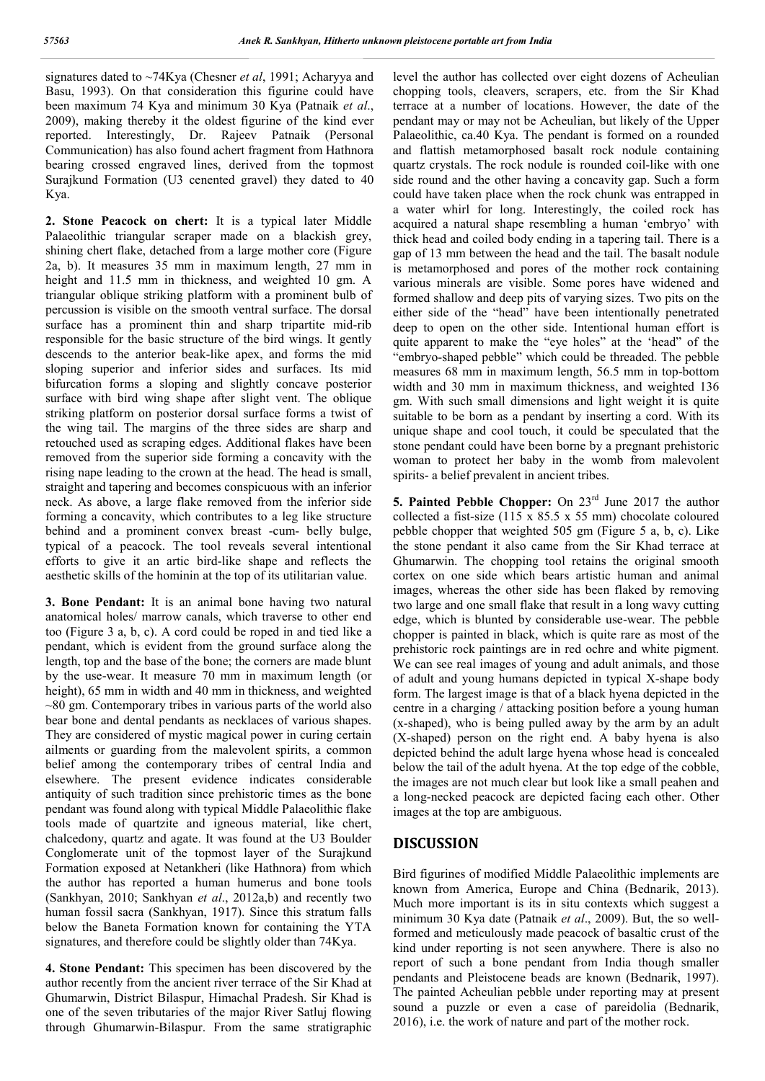signatures dated to ~74Kya (Chesner *et al*, 1991; Acharyya and Basu, 1993). On that consideration this figurine could have been maximum 74 Kya and minimum 30 Kya (Patnaik *et al*., 2009), making thereby it the oldest figurine of the kind ever reported. Interestingly, Dr. Rajeev Patnaik (Personal Communication) has also found achert fragment from Hathnora bearing crossed engraved lines, derived from the topmost Surajkund Formation (U3 cenented gravel) they dated to 40 Kya.

**2. Stone Peacock on chert:** It is a typical later Middle Palaeolithic triangular scraper made on a blackish grey, shining chert flake, detached from a large mother core (Figure 2a, b). It measures 35 mm in maximum length, 27 mm in height and 11.5 mm in thickness, and weighted 10 gm. A triangular oblique striking platform with a prominent bulb of percussion is visible on the smooth ventral surface. The dorsal surface has a prominent thin and sharp tripartite mid-rib responsible for the basic structure of the bird wings. It gently descends to the anterior beak-like apex, and forms the mid sloping superior and inferior sides and surfaces. Its mid bifurcation forms a sloping and slightly concave posterior surface with bird wing shape after slight vent. The oblique striking platform on posterior dorsal surface forms a twist of the wing tail. The margins of the three sides are sharp and retouched used as scraping edges. Additional flakes have been removed from the superior side forming a concavity with the rising nape leading to the crown at the head. The head is small, straight and tapering and becomes conspicuous with an inferior neck. As above, a large flake removed from the inferior side forming a concavity, which contributes to a leg like structure behind and a prominent convex breast -cum- belly bulge, typical of a peacock. The tool reveals several intentional efforts to give it an artic bird-like shape and reflects the aesthetic skills of the hominin at the top of its utilitarian value.

**3. Bone Pendant:** It is an animal bone having two natural anatomical holes/ marrow canals, which traverse to other end too (Figure 3 a, b, c). A cord could be roped in and tied like a pendant, which is evident from the ground surface along the length, top and the base of the bone; the corners are made blunt by the use-wear. It measure 70 mm in maximum length (or height), 65 mm in width and 40 mm in thickness, and weighted  $\sim$ 80 gm. Contemporary tribes in various parts of the world also bear bone and dental pendants as necklaces of various shapes. They are considered of mystic magical power in curing certain ailments or guarding from the malevolent spirits, a common belief among the contemporary tribes of central India and elsewhere. The present evidence indicates considerable antiquity of such tradition since prehistoric times as the bone pendant was found along with typical Middle Palaeolithic flake tools made of quartzite and igneous material, like chert, chalcedony, quartz and agate. It was found at the U3 Boulder Conglomerate unit of the topmost layer of the Surajkund Formation exposed at Netankheri (like Hathnora) from which the author has reported a human humerus and bone tools (Sankhyan, 2010; Sankhyan *et al*., 2012a,b) and recently two human fossil sacra (Sankhyan, 1917). Since this stratum falls below the Baneta Formation known for containing the YTA signatures, and therefore could be slightly older than 74Kya.

**4. Stone Pendant:** This specimen has been discovered by the author recently from the ancient river terrace of the Sir Khad at Ghumarwin, District Bilaspur, Himachal Pradesh. Sir Khad is one of the seven tributaries of the major River Satluj flowing through Ghumarwin-Bilaspur. From the same stratigraphic

level the author has collected over eight dozens of Acheulian chopping tools, cleavers, scrapers, etc. from the Sir Khad terrace at a number of locations. However, the date of the pendant may or may not be Acheulian, but likely of the Upper Palaeolithic, ca.40 Kya. The pendant is formed on a rounded and flattish metamorphosed basalt rock nodule containing quartz crystals. The rock nodule is rounded coil-like with one side round and the other having a concavity gap. Such a form could have taken place when the rock chunk was entrapped in a water whirl for long. Interestingly, the coiled rock has acquired a natural shape resembling a human 'embryo' with thick head and coiled body ending in a tapering tail. There is a gap of 13 mm between the head and the tail. The basalt nodule is metamorphosed and pores of the mother rock containing various minerals are visible. Some pores have widened and formed shallow and deep pits of varying sizes. Two pits on the either side of the "head" have been intentionally penetrated deep to open on the other side. Intentional human effort is quite apparent to make the "eye holes" at the 'head" of the "embryo-shaped pebble" which could be threaded. The pebble measures 68 mm in maximum length, 56.5 mm in top-bottom width and 30 mm in maximum thickness, and weighted 136 gm. With such small dimensions and light weight it is quite suitable to be born as a pendant by inserting a cord. With its unique shape and cool touch, it could be speculated that the stone pendant could have been borne by a pregnant prehistoric woman to protect her baby in the womb from malevolent spirits- a belief prevalent in ancient tribes.

**5. Painted Pebble Chopper:** On 23rd June 2017 the author collected a fist-size (115 x 85.5 x 55 mm) chocolate coloured pebble chopper that weighted 505 gm (Figure 5 a, b, c). Like the stone pendant it also came from the Sir Khad terrace at Ghumarwin. The chopping tool retains the original smooth cortex on one side which bears artistic human and animal images, whereas the other side has been flaked by removing two large and one small flake that result in a long wavy cutting edge, which is blunted by considerable use-wear. The pebble chopper is painted in black, which is quite rare as most of the prehistoric rock paintings are in red ochre and white pigment. We can see real images of young and adult animals, and those of adult and young humans depicted in typical X-shape body form. The largest image is that of a black hyena depicted in the centre in a charging / attacking position before a young human (x-shaped), who is being pulled away by the arm by an adult (X-shaped) person on the right end. A baby hyena is also depicted behind the adult large hyena whose head is concealed below the tail of the adult hyena. At the top edge of the cobble, the images are not much clear but look like a small peahen and a long-necked peacock are depicted facing each other. Other images at the top are ambiguous.

## **DISCUSSION**

Bird figurines of modified Middle Palaeolithic implements are known from America, Europe and China (Bednarik, 2013). Much more important is its in situ contexts which suggest a minimum 30 Kya date (Patnaik *et al*., 2009). But, the so wellformed and meticulously made peacock of basaltic crust of the kind under reporting is not seen anywhere. There is also no report of such a bone pendant from India though smaller pendants and Pleistocene beads are known (Bednarik, 1997). The painted Acheulian pebble under reporting may at present sound a puzzle or even a case of pareidolia (Bednarik, 2016), i.e. the work of nature and part of the mother rock.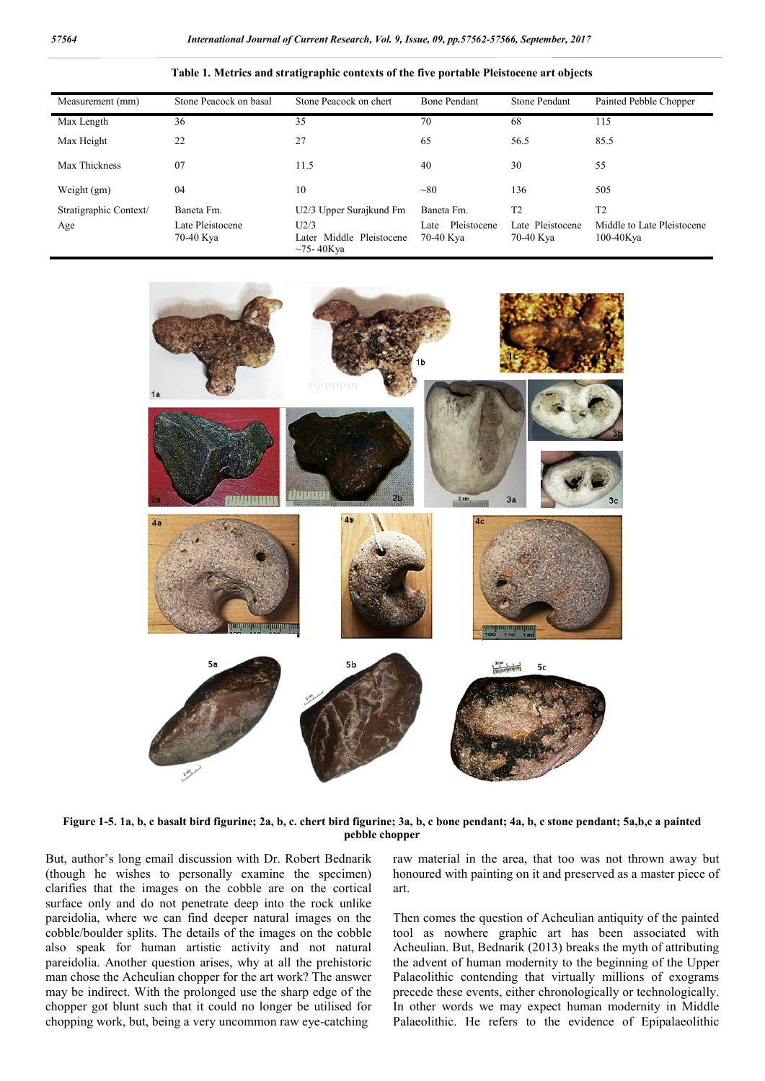| Measurement (mm)       | Stone Peacock on basal        | Stone Peacock on chert                                 | <b>Bone Pendant</b>              | <b>Stone Pendant</b>          | Painted Pebble Chopper                     |
|------------------------|-------------------------------|--------------------------------------------------------|----------------------------------|-------------------------------|--------------------------------------------|
| Max Length             | 36                            | 35                                                     | 70                               | 68                            | 115                                        |
| Max Height             | 22                            | 27                                                     | 65                               | 56.5                          | 85.5                                       |
| Max Thickness          | 07                            | 11.5                                                   | 40                               | 30                            | 55                                         |
| Weight (gm)            | 04                            | 10                                                     | $\sim 80$                        | 136                           | 505                                        |
| Stratigraphic Context/ | Baneta Fm.                    | U2/3 Upper Surajkund Fm                                | Baneta Fm.                       | T <sub>2</sub>                | T <sub>2</sub>                             |
| Age                    | Late Pleistocene<br>70-40 Kya | U2/3<br>Later Middle Pleistocene<br>$\sim$ 75 - 40K va | Pleistocene<br>Late<br>70-40 Kya | Late Pleistocene<br>70-40 Kya | Middle to Late Pleistocene<br>$100-40$ Kya |





**Figure 1-5. 1a, b, c basalt bird figurine; 2a, b, c. chert bird figurine; 3a, b, c bone pendant; 4a, b, c stone pendant; 5a,b,c a painted pebble chopper**

But, author's long email discussion with Dr. Robert Bednarik (though he wishes to personally examine the specimen) clarifies that the images on the cobble are on the cortical surface only and do not penetrate deep into the rock unlike pareidolia, where we can find deeper natural images on the cobble/boulder splits. The details of the images on the cobble also speak for human artistic activity and not natural pareidolia. Another question arises, why at all the prehistoric man chose the Acheulian chopper for the art work? The answer may be indirect. With the prolonged use the sharp edge of the chopper got blunt such that it could no longer be utilised for chopping work, but, being a very uncommon raw eye-catching

raw material in the area, that too was not thrown away but honoured with painting on it and preserved as a master piece of art.

Then comes the question of Acheulian antiquity of the painted tool as nowhere graphic art has been associated with Acheulian. But, Bednarik (2013) breaks the myth of attributing the advent of human modernity to the beginning of the Upper Palaeolithic contending that virtually millions of exograms precede these events, either chronologically or technologically. In other words we may expect human modernity in Middle Palaeolithic. He refers to the evidence of Epipalaeolithic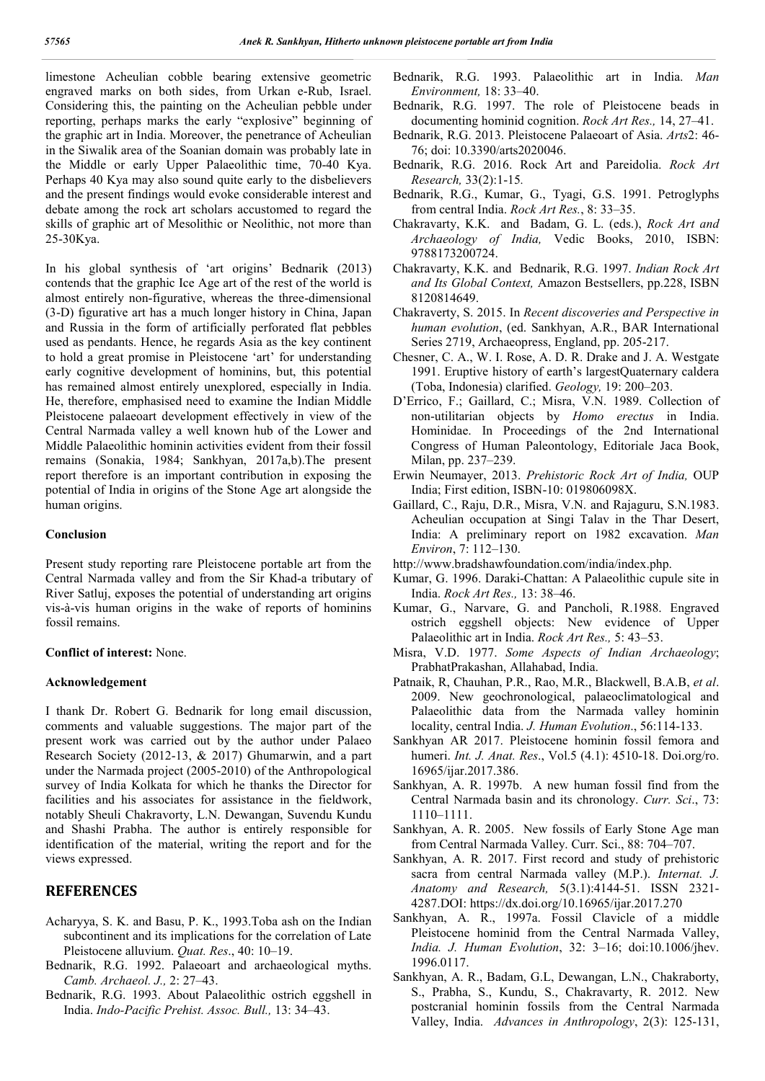limestone Acheulian cobble bearing extensive geometric engraved marks on both sides, from Urkan e-Rub, Israel. Considering this, the painting on the Acheulian pebble under reporting, perhaps marks the early "explosive" beginning of the graphic art in India. Moreover, the penetrance of Acheulian in the Siwalik area of the Soanian domain was probably late in the Middle or early Upper Palaeolithic time, 70-40 Kya. Perhaps 40 Kya may also sound quite early to the disbelievers and the present findings would evoke considerable interest and debate among the rock art scholars accustomed to regard the skills of graphic art of Mesolithic or Neolithic, not more than 25-30Kya.

In his global synthesis of 'art origins' Bednarik (2013) contends that the graphic Ice Age art of the rest of the world is almost entirely non-figurative, whereas the three-dimensional (3-D) figurative art has a much longer history in China, Japan and Russia in the form of artificially perforated flat pebbles used as pendants. Hence, he regards Asia as the key continent to hold a great promise in Pleistocene 'art' for understanding early cognitive development of hominins, but, this potential has remained almost entirely unexplored, especially in India. He, therefore, emphasised need to examine the Indian Middle Pleistocene palaeoart development effectively in view of the Central Narmada valley a well known hub of the Lower and Middle Palaeolithic hominin activities evident from their fossil remains (Sonakia, 1984; Sankhyan, 2017a,b).The present report therefore is an important contribution in exposing the potential of India in origins of the Stone Age art alongside the human origins.

#### **Conclusion**

Present study reporting rare Pleistocene portable art from the Central Narmada valley and from the Sir Khad-a tributary of River Satluj, exposes the potential of understanding art origins vis-à-vis human origins in the wake of reports of hominins fossil remains.

#### **Conflict of interest:** None.

#### **Acknowledgement**

I thank Dr. Robert G. Bednarik for long email discussion, comments and valuable suggestions. The major part of the present work was carried out by the author under Palaeo Research Society (2012-13, & 2017) Ghumarwin, and a part under the Narmada project (2005-2010) of the Anthropological survey of India Kolkata for which he thanks the Director for facilities and his associates for assistance in the fieldwork, notably Sheuli Chakravorty, L.N. Dewangan, Suvendu Kundu and Shashi Prabha. The author is entirely responsible for identification of the material, writing the report and for the views expressed.

## **REFERENCES**

- Acharyya, S. K. and Basu, P. K., 1993.Toba ash on the Indian subcontinent and its implications for the correlation of Late Pleistocene alluvium. *Quat. Res*., 40: 10–19.
- Bednarik, R.G. 1992. Palaeoart and archaeological myths. *Camb. Archaeol. J.,* 2: 27–43.
- Bednarik, R.G. 1993. About Palaeolithic ostrich eggshell in India. *Indo-Pacific Prehist. Assoc. Bull.,* 13: 34–43.
- Bednarik, R.G. 1993. Palaeolithic art in India. *Man Environment,* 18: 33–40.
- Bednarik, R.G. 1997. The role of Pleistocene beads in documenting hominid cognition. *Rock Art Res.,* 14, 27–41.
- Bednarik, R.G. 2013. Pleistocene Palaeoart of Asia. *Arts*2: 46- 76; doi: 10.3390/arts2020046.
- Bednarik, R.G. 2016. Rock Art and Pareidolia. *Rock Art Research,* 33(2):1-15*.*
- Bednarik, R.G., Kumar, G., Tyagi, G.S. 1991. Petroglyphs from central India. *Rock Art Res.*, 8: 33–35.
- Chakravarty, K.K. and Badam, G. L. (eds.), *Rock Art and Archaeology of India,* Vedic Books, 2010, ISBN: 9788173200724.
- Chakravarty, K.K. and Bednarik, R.G. 1997. *Indian Rock Art and Its Global Context,* Amazon Bestsellers, pp.228, ISBN 8120814649.
- Chakraverty, S. 2015. In *Recent discoveries and Perspective in human evolution*, (ed. Sankhyan, A.R., BAR International Series 2719, Archaeopress, England, pp. 205-217.
- Chesner, C. A., W. I. Rose, A. D. R. Drake and J. A. Westgate 1991. Eruptive history of earth's largestQuaternary caldera (Toba, Indonesia) clarified. *Geology,* 19: 200–203.
- D'Errico, F.; Gaillard, C.; Misra, V.N. 1989. Collection of non-utilitarian objects by *Homo erectus* in India. Hominidae. In Proceedings of the 2nd International Congress of Human Paleontology, Editoriale Jaca Book, Milan, pp. 237–239.
- Erwin Neumayer, 2013. *Prehistoric Rock Art of India,* OUP India; First edition, ISBN-10: 019806098X.
- Gaillard, C., Raju, D.R., Misra, V.N. and Rajaguru, S.N.1983. Acheulian occupation at Singi Talav in the Thar Desert, India: A preliminary report on 1982 excavation. *Man Environ*, 7: 112–130.
- http://www.bradshawfoundation.com/india/index.php.
- Kumar, G. 1996. Daraki-Chattan: A Palaeolithic cupule site in India. *Rock Art Res.,* 13: 38–46.
- Kumar, G., Narvare, G. and Pancholi, R.1988. Engraved ostrich eggshell objects: New evidence of Upper Palaeolithic art in India. *Rock Art Res.,* 5: 43–53.
- Misra, V.D. 1977. *Some Aspects of Indian Archaeology*; PrabhatPrakashan, Allahabad, India.
- Patnaik, R, Chauhan, P.R., Rao, M.R., Blackwell, B.A.B, *et al*. 2009. New geochronological, palaeoclimatological and Palaeolithic data from the Narmada valley hominin locality, central India. *J. Human Evolution*., 56:114-133.
- Sankhyan AR 2017. Pleistocene hominin fossil femora and humeri. *Int. J. Anat. Res*., Vol.5 (4.1): 4510-18. Doi.org/ro. 16965/ijar.2017.386.
- Sankhyan, A. R. 1997b. A new human fossil find from the Central Narmada basin and its chronology. *Curr. Sci*., 73: 1110–1111.
- Sankhyan, A. R. 2005. New fossils of Early Stone Age man from Central Narmada Valley. Curr. Sci., 88: 704–707.
- Sankhyan, A. R. 2017. First record and study of prehistoric sacra from central Narmada valley (M.P.). *Internat. J. Anatomy and Research,* 5(3.1):4144-51. ISSN 2321- 4287.DOI: https://dx.doi.org/10.16965/ijar.2017.270
- Sankhyan, A. R., 1997a. Fossil Clavicle of a middle Pleistocene hominid from the Central Narmada Valley, *India. J. Human Evolution*, 32: 3–16; doi:10.1006/jhev. 1996.0117.
- Sankhyan, A. R., Badam, G.L, Dewangan, L.N., Chakraborty, S., Prabha, S., Kundu, S., Chakravarty, R. 2012. New postcranial hominin fossils from the Central Narmada Valley, India. *Advances in Anthropology*, 2(3): 125-131,